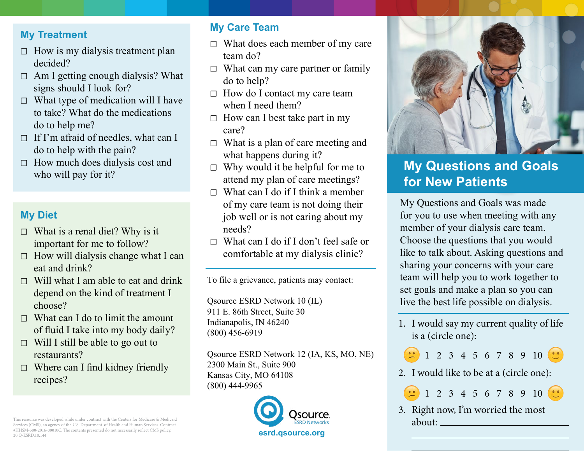#### **My Treatment**

- $\Box$  How is my dialysis treatment plan decided?
- $\Box$  Am I getting enough dialysis? What signs should I look for?
- $\Box$  What type of medication will I have to take? What do the medications do to help me?
- □ If I'm afraid of needles, what can I do to help with the pain?
- $\Box$  How much does dialysis cost and who will pay for it?

## **My Diet**

- $\Box$  What is a renal diet? Why is it important for me to follow?
- $\Box$  How will dialysis change what I can eat and drink?
- $\Box$  Will what I am able to eat and drink depend on the kind of treatment I choose?
- $\Box$  What can I do to limit the amount of fluid I take into my body daily?
- $\Box$  Will I still be able to go out to restaurants?
- ☐ Where can I find kidney friendly recipes?

#### **My Care Team**

- ☐ What does each member of my care team do?
- $\Box$  What can my care partner or family do to help?
- ☐ How do I contact my care team when I need them?
- $\Box$  How can I best take part in my care?
- $\Box$  What is a plan of care meeting and what happens during it?
- $\Box$  Why would it be helpful for me to attend my plan of care meetings?
- $\Box$  What can I do if I think a member of my care team is not doing their job well or is not caring about my needs?
- ☐ What can I do if I don't feel safe or comfortable at my dialysis clinic?

To file a grievance, patients may contact:

Qsource ESRD Network 10 (IL) 911 E. 86th Street, Suite 30 Indianapolis, IN 46240 (800) 456‐6919

Qsource ESRD Network 12 (IA, KS, MO, NE) 2300 Main St., Suite 900 Kansas City, MO 64108 (800) 444-9965





# **My Questions and Goals for New Patients**

My Questions and Goals was made for you to use when meeting with any member of your dialysis care team. Choose the questions that you would like to talk about. Asking questions and sharing your concerns with your care team will help you to work together to set goals and make a plan so you can live the best life possible on dialysis.

1. I would say my current quality of life is a (circle one):



2. I would like to be at a (circle one):

1 2 3 4 5 6 7 8 9 10

3. Right now, I'm worried the most about:

This resource was developed while under contract with the Centers for Medicare & Medicaid Services (CMS), an agency of the U.S. Department of Health and Human Services. Contract #HHSM-500-2016-00010C. The contents presented do not necessarily reflect CMS policy.